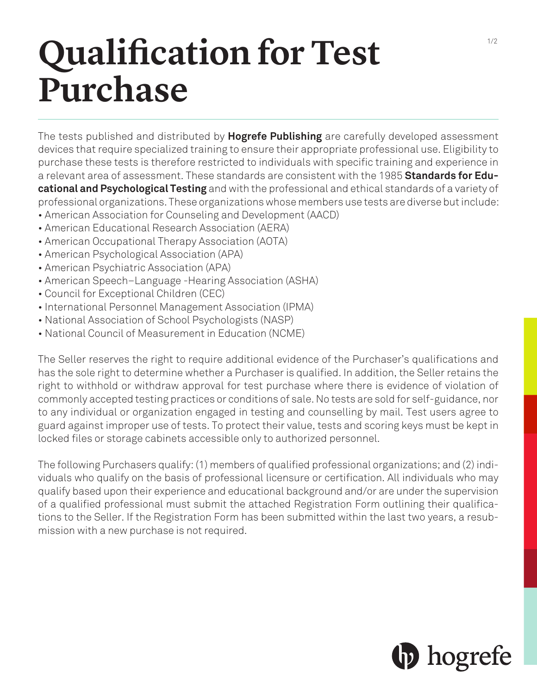## **Qualification for Test Purchase**

The tests published and distributed by **Hogrefe Publishing** are carefully developed assessment devices that require specialized training to ensure their appropriate professional use. Eligibility to purchase these tests is therefore restricted to individuals with specific training and experience in a relevant area of assessment. These standards are consistent with the 1985 **Standards for Educational and Psychological Testing** and with the professional and ethical standards of a variety of professional organizations. These organizations whose members use tests are diverse but include: • American Association for Counseling and Development (AACD)

- American Educational Research Association (AERA)
- 
- American Occupational Therapy Association (AOTA)
- American Psychological Association (APA)
- American Psychiatric Association (APA)
- American Speech–Language -Hearing Association (ASHA)
- Council for Exceptional Children (CEC)
- International Personnel Management Association (IPMA)
- National Association of School Psychologists (NASP)
- National Council of Measurement in Education (NCME)

The Seller reserves the right to require additional evidence of the Purchaser's qualifications and has the sole right to determine whether a Purchaser is qualified. In addition, the Seller retains the right to withhold or withdraw approval for test purchase where there is evidence of violation of commonly accepted testing practices or conditions of sale. No tests are sold for self-guidance, nor to any individual or organization engaged in testing and counselling by mail. Test users agree to guard against improper use of tests. To protect their value, tests and scoring keys must be kept in locked files or storage cabinets accessible only to authorized personnel.

The following Purchasers qualify: (1) members of qualified professional organizations; and (2) individuals who qualify on the basis of professional licensure or certification. All individuals who may qualify based upon their experience and educational background and/or are under the supervision of a qualified professional must submit the attached Registration Form outlining their qualifications to the Seller. If the Registration Form has been submitted within the last two years, a resubmission with a new purchase is not required.